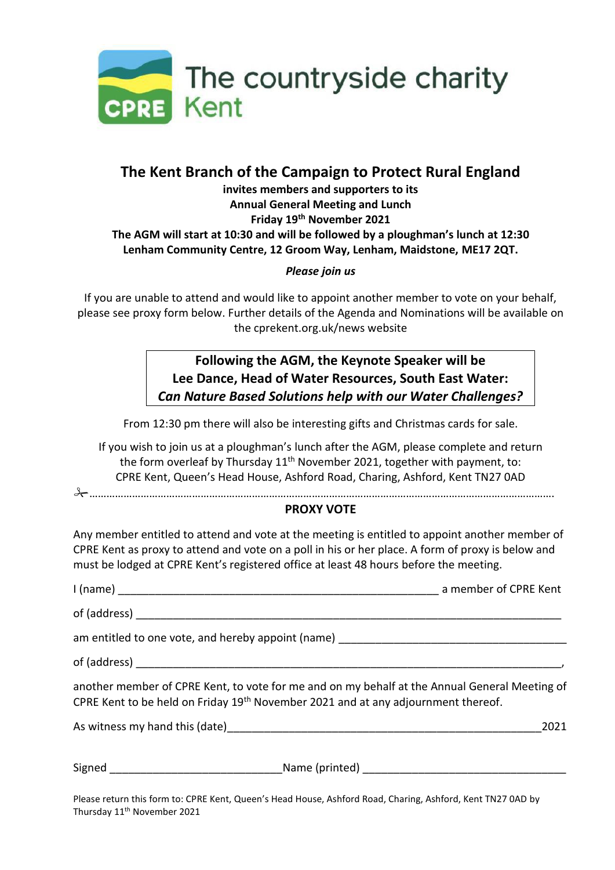

# **The Kent Branch of the Campaign to Protect Rural England**

### **invites members and supporters to its Annual General Meeting and Lunch Friday 19th November 2021 The AGM will start at 10:30 and will be followed by a ploughman's lunch at 12:30 Lenham Community Centre, 12 Groom Way, Lenham, Maidstone, ME17 2QT.**

#### *Please join us*

If you are unable to attend and would like to appoint another member to vote on your behalf, please see proxy form below. Further details of the Agenda and Nominations will be available on the cprekent.org.uk/news website

## **Following the AGM, the Keynote Speaker will be Lee Dance, Head of Water Resources, South East Water:**  *Can Nature Based Solutions help with our Water Challenges?*

From 12:30 pm there will also be interesting gifts and Christmas cards for sale.

If you wish to join us at a ploughman's lunch after the AGM, please complete and return the form overleaf by Thursday  $11<sup>th</sup>$  November 2021, together with payment, to: CPRE Kent, Queen's Head House, Ashford Road, Charing, Ashford, Kent TN27 0AD

……………………………………………………………………………………………………………………………………………….

### **PROXY VOTE**

Any member entitled to attend and vote at the meeting is entitled to appoint another member of CPRE Kent as proxy to attend and vote on a poll in his or her place. A form of proxy is below and must be lodged at CPRE Kent's registered office at least 48 hours before the meeting.

| another member of CPRE Kent, to vote for me and on my behalf at the Annual General Meeting of<br>CPRE Kent to be held on Friday 19 <sup>th</sup> November 2021 and at any adjournment thereof. |
|------------------------------------------------------------------------------------------------------------------------------------------------------------------------------------------------|
| 2021                                                                                                                                                                                           |
|                                                                                                                                                                                                |

Please return this form to: CPRE Kent, Queen's Head House, Ashford Road, Charing, Ashford, Kent TN27 0AD by Thursday 11<sup>th</sup> November 2021